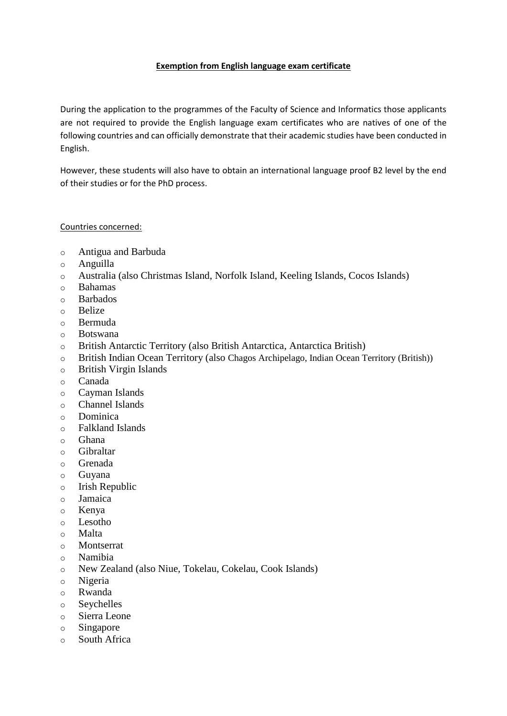## **Exemption from English language exam certificate**

During the application to the programmes of the Faculty of Science and Informatics those applicants are not required to provide the English language exam certificates who are natives of one of the following countries and can officially demonstrate that their academic studies have been conducted in English.

However, these students will also have to obtain an international language proof B2 level by the end of their studies or for the PhD process.

## Countries concerned:

- o Antigua and Barbuda
- o Anguilla
- o Australia (also Christmas Island, Norfolk Island, Keeling Islands, Cocos Islands)
- o Bahamas
- o Barbados
- o Belize
- o Bermuda
- o Botswana
- o British Antarctic Territory (also British Antarctica, Antarctica British)
- o British Indian Ocean Territory (also Chagos Archipelago, Indian Ocean Territory (British))
- o British Virgin Islands
- o Canada
- o Cayman Islands
- o Channel Islands
- o Dominica
- o Falkland Islands
- o Ghana
- o Gibraltar
- o Grenada
- o Guyana
- o Irish Republic
- o Jamaica
- o Kenya
- o Lesotho
- o Malta
- o Montserrat
- o Namibia
- o New Zealand (also Niue, Tokelau, Cokelau, Cook Islands)
- o Nigeria
- o Rwanda
- o Seychelles
- o Sierra Leone
- o Singapore
- o South Africa